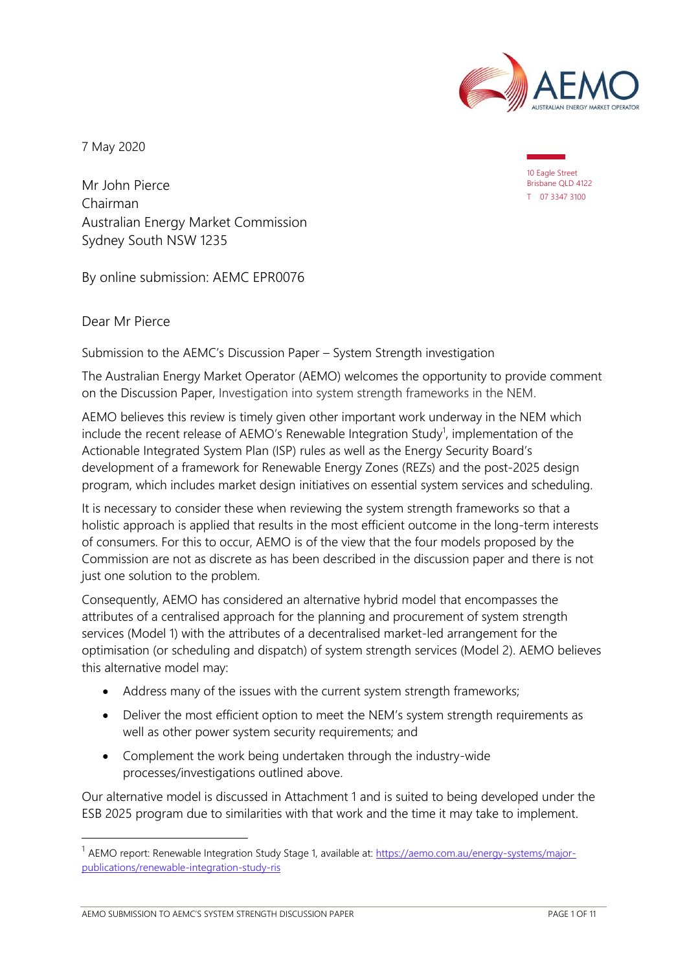

7 May 2020

10 Eagle Street Brisbane QLD 4122 T 07 3347 3100

Mr John Pierce Chairman Australian Energy Market Commission Sydney South NSW 1235

By online submission: AEMC EPR0076

Dear Mr Pierce

Submission to the AEMC's Discussion Paper – System Strength investigation

The Australian Energy Market Operator (AEMO) welcomes the opportunity to provide comment on the Discussion Paper, Investigation into system strength frameworks in the NEM.

AEMO believes this review is timely given other important work underway in the NEM which include the recent release of AEMO's Renewable Integration Study<sup>1</sup>, implementation of the Actionable Integrated System Plan (ISP) rules as well as the Energy Security Board's development of a framework for Renewable Energy Zones (REZs) and the post-2025 design program, which includes market design initiatives on essential system services and scheduling.

It is necessary to consider these when reviewing the system strength frameworks so that a holistic approach is applied that results in the most efficient outcome in the long-term interests of consumers. For this to occur, AEMO is of the view that the four models proposed by the Commission are not as discrete as has been described in the discussion paper and there is not just one solution to the problem.

Consequently, AEMO has considered an alternative hybrid model that encompasses the attributes of a centralised approach for the planning and procurement of system strength services (Model 1) with the attributes of a decentralised market-led arrangement for the optimisation (or scheduling and dispatch) of system strength services (Model 2). AEMO believes this alternative model may:

- Address many of the issues with the current system strength frameworks;
- Deliver the most efficient option to meet the NEM's system strength requirements as well as other power system security requirements; and
- Complement the work being undertaken through the industry-wide processes/investigations outlined above.

Our alternative model is discussed in Attachment 1 and is suited to being developed under the ESB 2025 program due to similarities with that work and the time it may take to implement.

<sup>&</sup>lt;sup>1</sup> AEMO report: Renewable Integration Study Stage 1, available at[: https://aemo.com.au/energy-systems/major](https://aemo.com.au/energy-systems/major-publications/renewable-integration-study-ris)[publications/renewable-integration-study-ris](https://aemo.com.au/energy-systems/major-publications/renewable-integration-study-ris)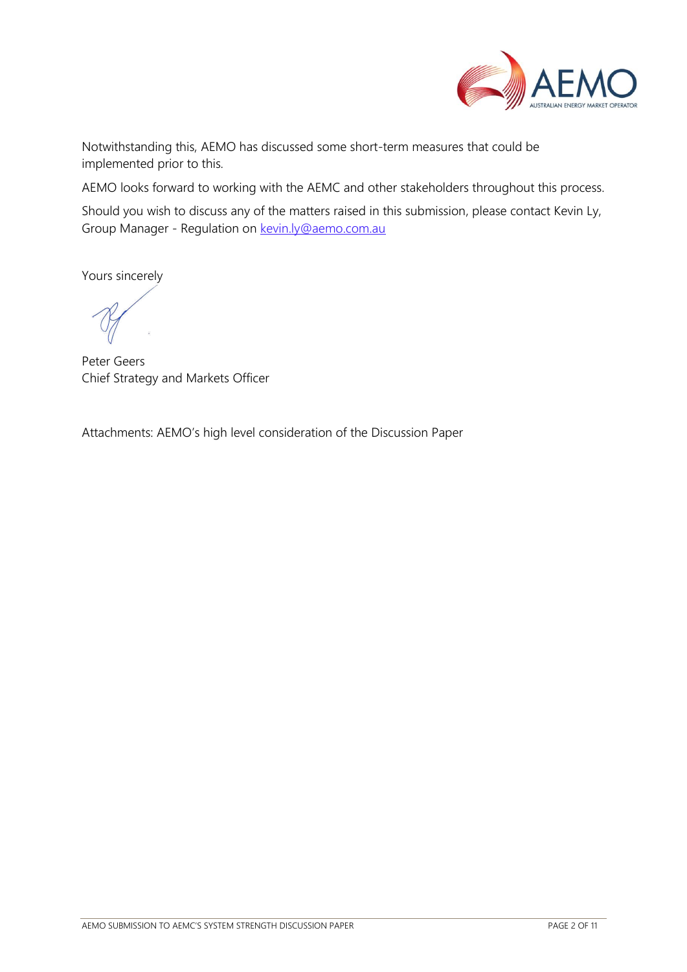

Notwithstanding this, AEMO has discussed some short-term measures that could be implemented prior to this.

AEMO looks forward to working with the AEMC and other stakeholders throughout this process.

Should you wish to discuss any of the matters raised in this submission, please contact Kevin Ly, Group Manager - Regulation on [kevin.ly@aemo.com.au](mailto:kevin.ly@aemo.com.au)

Yours sincerely

Peter Geers Chief Strategy and Markets Officer

Attachments: AEMO's high level consideration of the Discussion Paper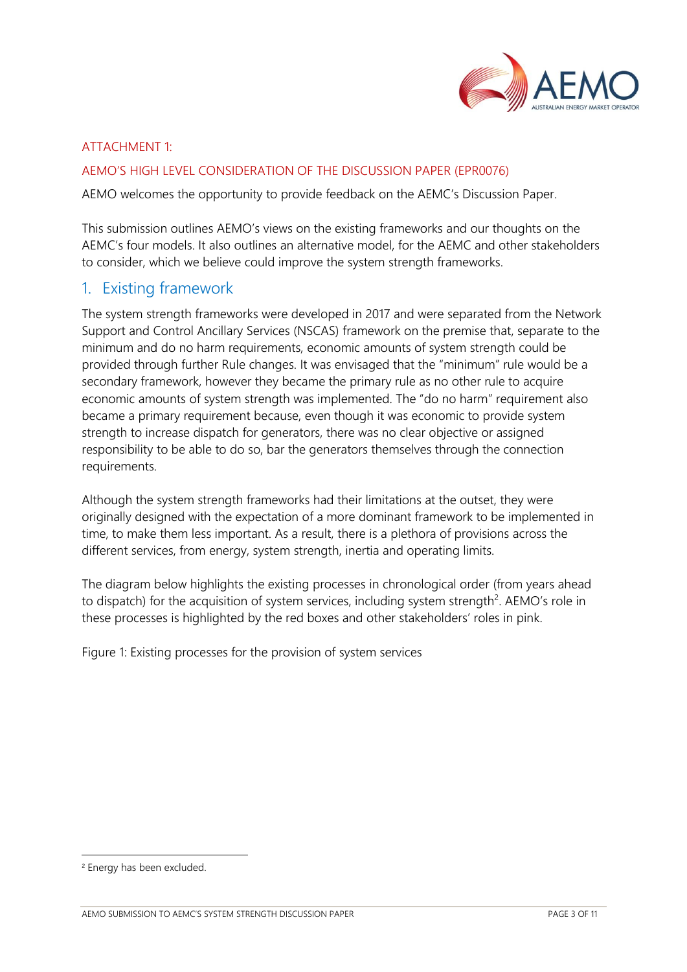

#### ATTACHMENT 1:

#### AEMO'S HIGH LEVEL CONSIDERATION OF THE DISCUSSION PAPER (EPR0076)

AEMO welcomes the opportunity to provide feedback on the AEMC's Discussion Paper.

This submission outlines AEMO's views on the existing frameworks and our thoughts on the AEMC's four models. It also outlines an alternative model, for the AEMC and other stakeholders to consider, which we believe could improve the system strength frameworks.

## 1. Existing framework

The system strength frameworks were developed in 2017 and were separated from the Network Support and Control Ancillary Services (NSCAS) framework on the premise that, separate to the minimum and do no harm requirements, economic amounts of system strength could be provided through further Rule changes. It was envisaged that the "minimum" rule would be a secondary framework, however they became the primary rule as no other rule to acquire economic amounts of system strength was implemented. The "do no harm" requirement also became a primary requirement because, even though it was economic to provide system strength to increase dispatch for generators, there was no clear objective or assigned responsibility to be able to do so, bar the generators themselves through the connection requirements.

Although the system strength frameworks had their limitations at the outset, they were originally designed with the expectation of a more dominant framework to be implemented in time, to make them less important. As a result, there is a plethora of provisions across the different services, from energy, system strength, inertia and operating limits.

The diagram below highlights the existing processes in chronological order (from years ahead to dispatch) for the acquisition of system services, including system strength<sup>2</sup>. AEMO's role in these processes is highlighted by the red boxes and other stakeholders' roles in pink.

Figure 1: Existing processes for the provision of system services

<sup>2</sup> Energy has been excluded.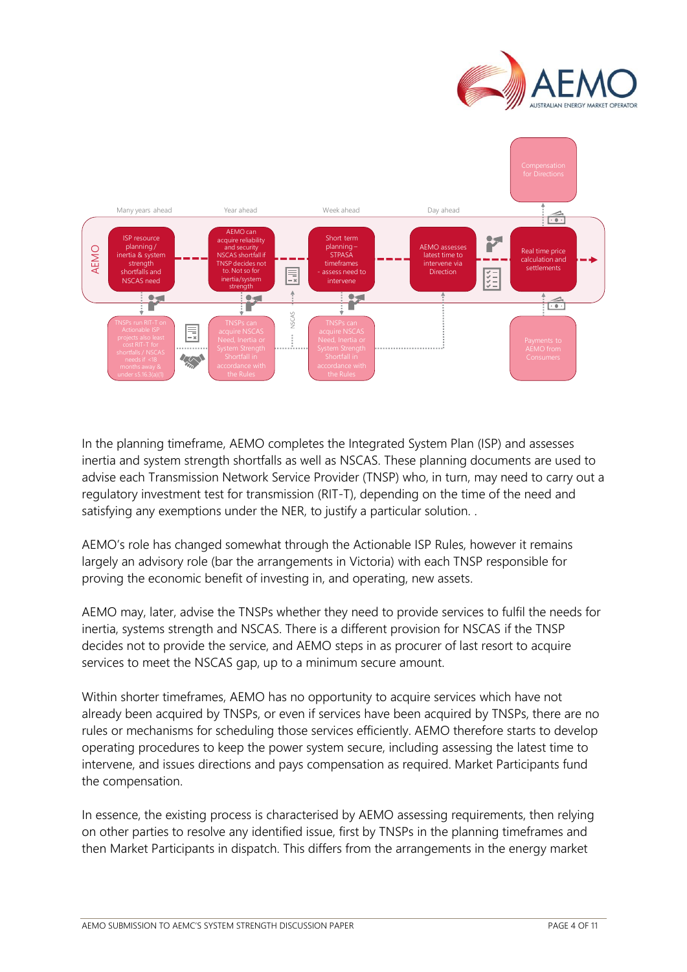



In the planning timeframe, AEMO completes the Integrated System Plan (ISP) and assesses inertia and system strength shortfalls as well as NSCAS. These planning documents are used to advise each Transmission Network Service Provider (TNSP) who, in turn, may need to carry out a regulatory investment test for transmission (RIT-T), depending on the time of the need and satisfying any exemptions under the NER, to justify a particular solution...

AEMO's role has changed somewhat through the Actionable ISP Rules, however it remains largely an advisory role (bar the arrangements in Victoria) with each TNSP responsible for proving the economic benefit of investing in, and operating, new assets.

AEMO may, later, advise the TNSPs whether they need to provide services to fulfil the needs for inertia, systems strength and NSCAS. There is a different provision for NSCAS if the TNSP decides not to provide the service, and AEMO steps in as procurer of last resort to acquire services to meet the NSCAS gap, up to a minimum secure amount.

Within shorter timeframes, AEMO has no opportunity to acquire services which have not already been acquired by TNSPs, or even if services have been acquired by TNSPs, there are no rules or mechanisms for scheduling those services efficiently. AEMO therefore starts to develop operating procedures to keep the power system secure, including assessing the latest time to intervene, and issues directions and pays compensation as required. Market Participants fund the compensation.

In essence, the existing process is characterised by AEMO assessing requirements, then relying on other parties to resolve any identified issue, first by TNSPs in the planning timeframes and then Market Participants in dispatch. This differs from the arrangements in the energy market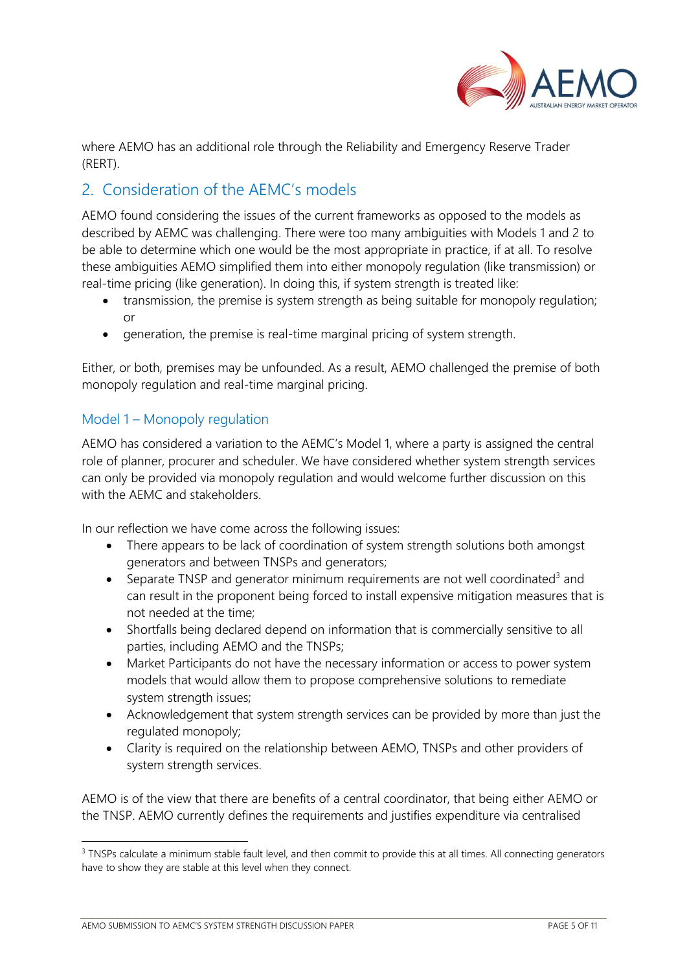

where AEMO has an additional role through the Reliability and Emergency Reserve Trader (RERT).

# 2. Consideration of the AEMC's models

AEMO found considering the issues of the current frameworks as opposed to the models as described by AEMC was challenging. There were too many ambiguities with Models 1 and 2 to be able to determine which one would be the most appropriate in practice, if at all. To resolve these ambiguities AEMO simplified them into either monopoly regulation (like transmission) or real-time pricing (like generation). In doing this, if system strength is treated like:

- transmission, the premise is system strength as being suitable for monopoly regulation; or
- generation, the premise is real-time marginal pricing of system strength.

Either, or both, premises may be unfounded. As a result, AEMO challenged the premise of both monopoly regulation and real-time marginal pricing.

### Model 1 – Monopoly regulation

AEMO has considered a variation to the AEMC's Model 1, where a party is assigned the central role of planner, procurer and scheduler. We have considered whether system strength services can only be provided via monopoly regulation and would welcome further discussion on this with the AEMC and stakeholders.

In our reflection we have come across the following issues:

- There appears to be lack of coordination of system strength solutions both amongst generators and between TNSPs and generators;
- Separate TNSP and generator minimum requirements are not well coordinated<sup>3</sup> and can result in the proponent being forced to install expensive mitigation measures that is not needed at the time;
- Shortfalls being declared depend on information that is commercially sensitive to all parties, including AEMO and the TNSPs;
- Market Participants do not have the necessary information or access to power system models that would allow them to propose comprehensive solutions to remediate system strength issues;
- Acknowledgement that system strength services can be provided by more than just the regulated monopoly;
- Clarity is required on the relationship between AEMO, TNSPs and other providers of system strength services.

AEMO is of the view that there are benefits of a central coordinator, that being either AEMO or the TNSP. AEMO currently defines the requirements and justifies expenditure via centralised

<sup>&</sup>lt;sup>3</sup> TNSPs calculate a minimum stable fault level, and then commit to provide this at all times. All connecting generators have to show they are stable at this level when they connect.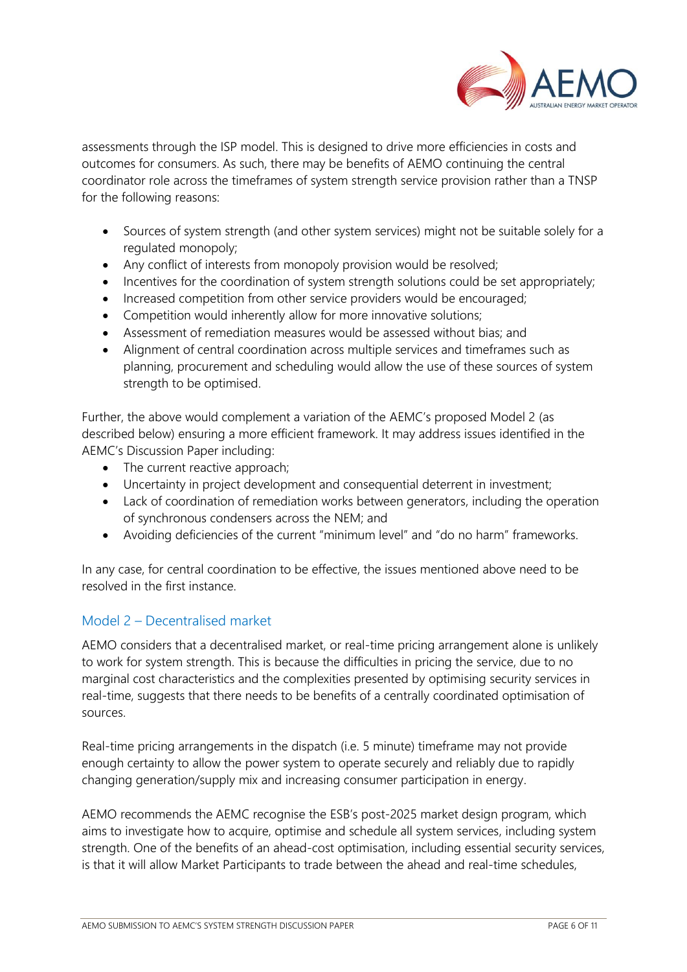

assessments through the ISP model. This is designed to drive more efficiencies in costs and outcomes for consumers. As such, there may be benefits of AEMO continuing the central coordinator role across the timeframes of system strength service provision rather than a TNSP for the following reasons:

- Sources of system strength (and other system services) might not be suitable solely for a regulated monopoly;
- Any conflict of interests from monopoly provision would be resolved;
- Incentives for the coordination of system strength solutions could be set appropriately;
- Increased competition from other service providers would be encouraged;
- Competition would inherently allow for more innovative solutions;
- Assessment of remediation measures would be assessed without bias; and
- Alignment of central coordination across multiple services and timeframes such as planning, procurement and scheduling would allow the use of these sources of system strength to be optimised.

Further, the above would complement a variation of the AEMC's proposed Model 2 (as described below) ensuring a more efficient framework. It may address issues identified in the AEMC's Discussion Paper including:

- The current reactive approach;
- Uncertainty in project development and consequential deterrent in investment;
- Lack of coordination of remediation works between generators, including the operation of synchronous condensers across the NEM; and
- Avoiding deficiencies of the current "minimum level" and "do no harm" frameworks.

In any case, for central coordination to be effective, the issues mentioned above need to be resolved in the first instance.

## Model 2 – Decentralised market

AEMO considers that a decentralised market, or real-time pricing arrangement alone is unlikely to work for system strength. This is because the difficulties in pricing the service, due to no marginal cost characteristics and the complexities presented by optimising security services in real-time, suggests that there needs to be benefits of a centrally coordinated optimisation of sources.

Real-time pricing arrangements in the dispatch (i.e. 5 minute) timeframe may not provide enough certainty to allow the power system to operate securely and reliably due to rapidly changing generation/supply mix and increasing consumer participation in energy.

AEMO recommends the AEMC recognise the ESB's post-2025 market design program, which aims to investigate how to acquire, optimise and schedule all system services, including system strength. One of the benefits of an ahead-cost optimisation, including essential security services, is that it will allow Market Participants to trade between the ahead and real-time schedules,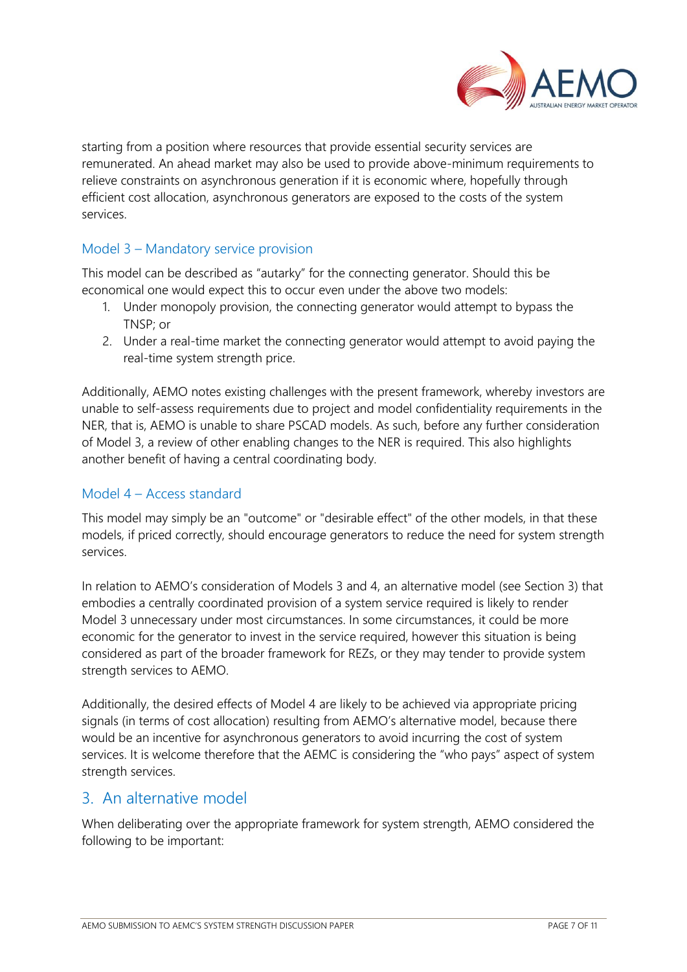

starting from a position where resources that provide essential security services are remunerated. An ahead market may also be used to provide above-minimum requirements to relieve constraints on asynchronous generation if it is economic where, hopefully through efficient cost allocation, asynchronous generators are exposed to the costs of the system services.

### Model 3 – Mandatory service provision

This model can be described as "autarky" for the connecting generator. Should this be economical one would expect this to occur even under the above two models:

- 1. Under monopoly provision, the connecting generator would attempt to bypass the TNSP; or
- 2. Under a real-time market the connecting generator would attempt to avoid paying the real-time system strength price.

Additionally, AEMO notes existing challenges with the present framework, whereby investors are unable to self-assess requirements due to project and model confidentiality requirements in the NER, that is, AEMO is unable to share PSCAD models. As such, before any further consideration of Model 3, a review of other enabling changes to the NER is required. This also highlights another benefit of having a central coordinating body.

### Model 4 – Access standard

This model may simply be an "outcome" or "desirable effect" of the other models, in that these models, if priced correctly, should encourage generators to reduce the need for system strength services.

In relation to AEMO's consideration of Models 3 and 4, an alternative model (see Section 3) that embodies a centrally coordinated provision of a system service required is likely to render Model 3 unnecessary under most circumstances. In some circumstances, it could be more economic for the generator to invest in the service required, however this situation is being considered as part of the broader framework for REZs, or they may tender to provide system strength services to AEMO.

Additionally, the desired effects of Model 4 are likely to be achieved via appropriate pricing signals (in terms of cost allocation) resulting from AEMO's alternative model, because there would be an incentive for asynchronous generators to avoid incurring the cost of system services. It is welcome therefore that the AEMC is considering the "who pays" aspect of system strength services.

## 3. An alternative model

When deliberating over the appropriate framework for system strength, AEMO considered the following to be important: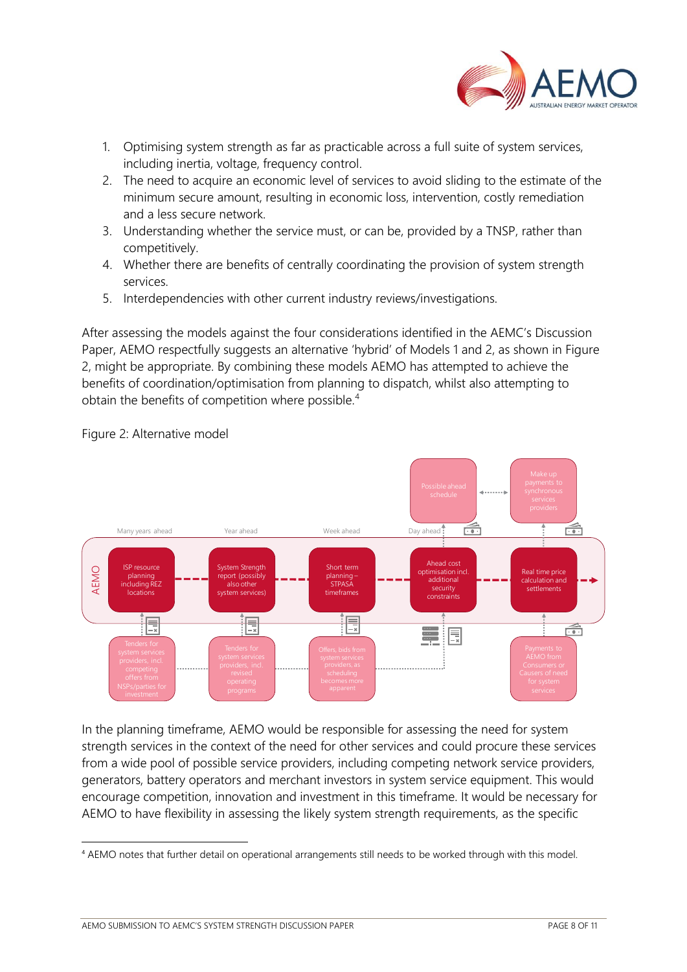

- 1. Optimising system strength as far as practicable across a full suite of system services, including inertia, voltage, frequency control.
- 2. The need to acquire an economic level of services to avoid sliding to the estimate of the minimum secure amount, resulting in economic loss, intervention, costly remediation and a less secure network.
- 3. Understanding whether the service must, or can be, provided by a TNSP, rather than competitively.
- 4. Whether there are benefits of centrally coordinating the provision of system strength services.
- 5. Interdependencies with other current industry reviews/investigations.

After assessing the models against the four considerations identified in the AEMC's Discussion Paper, AEMO respectfully suggests an alternative 'hybrid' of Models 1 and 2, as shown in Figure 2, might be appropriate. By combining these models AEMO has attempted to achieve the benefits of coordination/optimisation from planning to dispatch, whilst also attempting to obtain the benefits of competition where possible.<sup>4</sup>



Figure 2: Alternative model

In the planning timeframe, AEMO would be responsible for assessing the need for system strength services in the context of the need for other services and could procure these services from a wide pool of possible service providers, including competing network service providers, generators, battery operators and merchant investors in system service equipment. This would encourage competition, innovation and investment in this timeframe. It would be necessary for AEMO to have flexibility in assessing the likely system strength requirements, as the specific

<sup>4</sup> AEMO notes that further detail on operational arrangements still needs to be worked through with this model.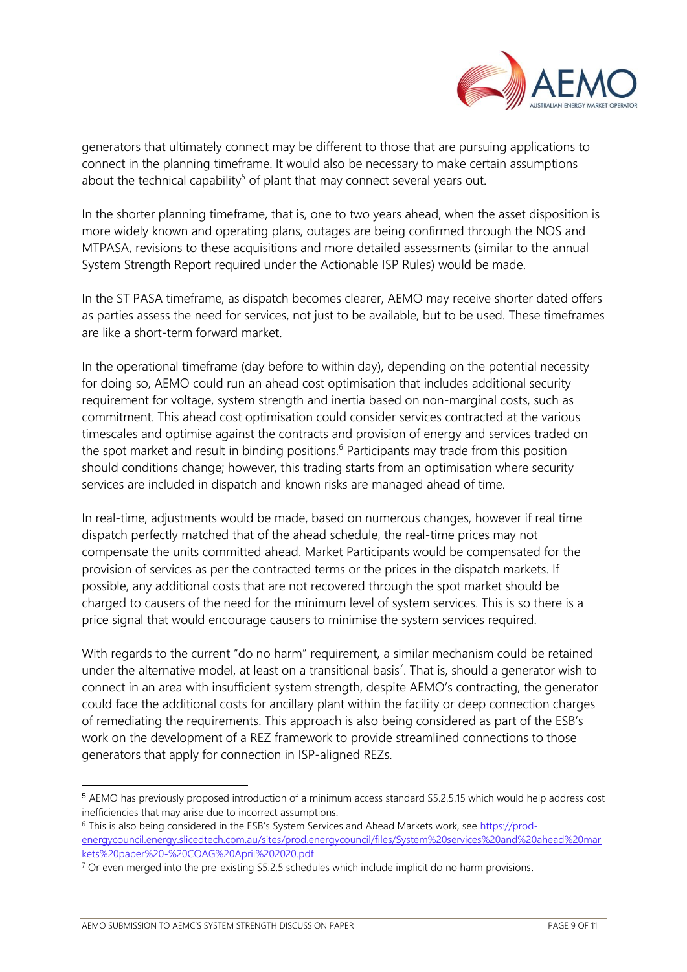

generators that ultimately connect may be different to those that are pursuing applications to connect in the planning timeframe. It would also be necessary to make certain assumptions about the technical capability<sup>5</sup> of plant that may connect several years out.

In the shorter planning timeframe, that is, one to two years ahead, when the asset disposition is more widely known and operating plans, outages are being confirmed through the NOS and MTPASA, revisions to these acquisitions and more detailed assessments (similar to the annual System Strength Report required under the Actionable ISP Rules) would be made.

In the ST PASA timeframe, as dispatch becomes clearer, AEMO may receive shorter dated offers as parties assess the need for services, not just to be available, but to be used. These timeframes are like a short-term forward market.

In the operational timeframe (day before to within day), depending on the potential necessity for doing so, AEMO could run an ahead cost optimisation that includes additional security requirement for voltage, system strength and inertia based on non-marginal costs, such as commitment. This ahead cost optimisation could consider services contracted at the various timescales and optimise against the contracts and provision of energy and services traded on the spot market and result in binding positions.<sup>6</sup> Participants may trade from this position should conditions change; however, this trading starts from an optimisation where security services are included in dispatch and known risks are managed ahead of time.

In real-time, adjustments would be made, based on numerous changes, however if real time dispatch perfectly matched that of the ahead schedule, the real-time prices may not compensate the units committed ahead. Market Participants would be compensated for the provision of services as per the contracted terms or the prices in the dispatch markets. If possible, any additional costs that are not recovered through the spot market should be charged to causers of the need for the minimum level of system services. This is so there is a price signal that would encourage causers to minimise the system services required.

With regards to the current "do no harm" requirement, a similar mechanism could be retained under the alternative model, at least on a transitional basis<sup>7</sup>. That is, should a generator wish to connect in an area with insufficient system strength, despite AEMO's contracting, the generator could face the additional costs for ancillary plant within the facility or deep connection charges of remediating the requirements. This approach is also being considered as part of the ESB's work on the development of a REZ framework to provide streamlined connections to those generators that apply for connection in ISP-aligned REZs.

<sup>5</sup> AEMO has previously proposed introduction of a minimum access standard S5.2.5.15 which would help address cost inefficiencies that may arise due to incorrect assumptions.

<sup>6</sup> This is also being considered in the ESB's System Services and Ahead Markets work, see [https://prod](https://prod-energycouncil.energy.slicedtech.com.au/sites/prod.energycouncil/files/System%20services%20and%20ahead%20markets%20paper%20-%20COAG%20April%202020.pdf)[energycouncil.energy.slicedtech.com.au/sites/prod.energycouncil/files/System%20services%20and%20ahead%20mar](https://prod-energycouncil.energy.slicedtech.com.au/sites/prod.energycouncil/files/System%20services%20and%20ahead%20markets%20paper%20-%20COAG%20April%202020.pdf) [kets%20paper%20-%20COAG%20April%202020.pdf](https://prod-energycouncil.energy.slicedtech.com.au/sites/prod.energycouncil/files/System%20services%20and%20ahead%20markets%20paper%20-%20COAG%20April%202020.pdf)

 $7$  Or even merged into the pre-existing S5.2.5 schedules which include implicit do no harm provisions.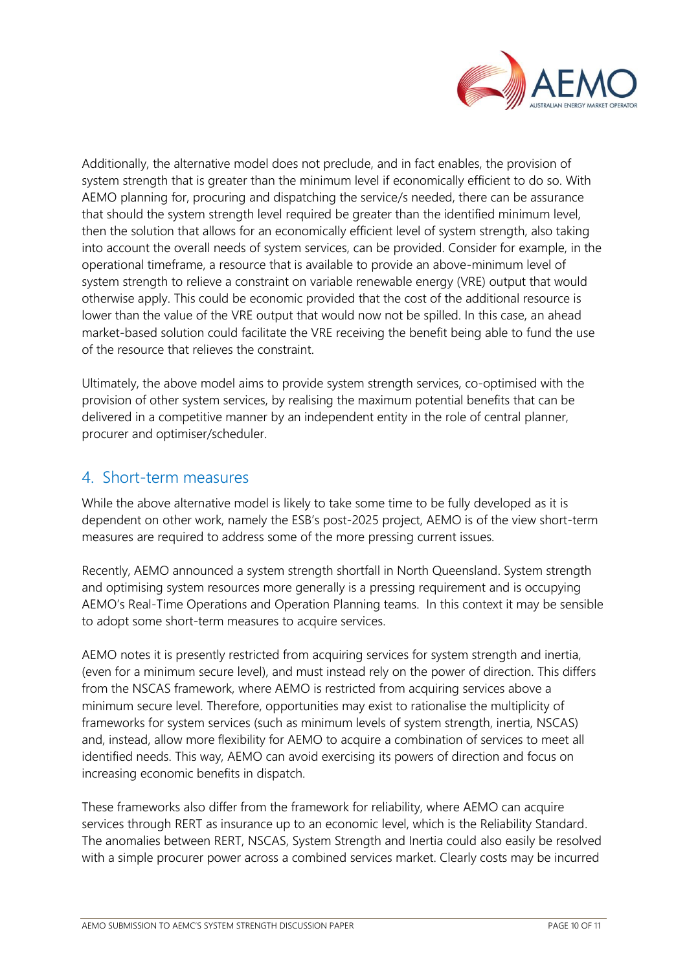

Additionally, the alternative model does not preclude, and in fact enables, the provision of system strength that is greater than the minimum level if economically efficient to do so. With AEMO planning for, procuring and dispatching the service/s needed, there can be assurance that should the system strength level required be greater than the identified minimum level, then the solution that allows for an economically efficient level of system strength, also taking into account the overall needs of system services, can be provided. Consider for example, in the operational timeframe, a resource that is available to provide an above-minimum level of system strength to relieve a constraint on variable renewable energy (VRE) output that would otherwise apply. This could be economic provided that the cost of the additional resource is lower than the value of the VRE output that would now not be spilled. In this case, an ahead market-based solution could facilitate the VRE receiving the benefit being able to fund the use of the resource that relieves the constraint.

Ultimately, the above model aims to provide system strength services, co-optimised with the provision of other system services, by realising the maximum potential benefits that can be delivered in a competitive manner by an independent entity in the role of central planner, procurer and optimiser/scheduler.

## 4. Short-term measures

While the above alternative model is likely to take some time to be fully developed as it is dependent on other work, namely the ESB's post-2025 project, AEMO is of the view short-term measures are required to address some of the more pressing current issues.

Recently, AEMO announced a system strength shortfall in North Queensland. System strength and optimising system resources more generally is a pressing requirement and is occupying AEMO's Real-Time Operations and Operation Planning teams. In this context it may be sensible to adopt some short-term measures to acquire services.

AEMO notes it is presently restricted from acquiring services for system strength and inertia, (even for a minimum secure level), and must instead rely on the power of direction. This differs from the NSCAS framework, where AEMO is restricted from acquiring services above a minimum secure level. Therefore, opportunities may exist to rationalise the multiplicity of frameworks for system services (such as minimum levels of system strength, inertia, NSCAS) and, instead, allow more flexibility for AEMO to acquire a combination of services to meet all identified needs. This way, AEMO can avoid exercising its powers of direction and focus on increasing economic benefits in dispatch.

These frameworks also differ from the framework for reliability, where AEMO can acquire services through RERT as insurance up to an economic level, which is the Reliability Standard. The anomalies between RERT, NSCAS, System Strength and Inertia could also easily be resolved with a simple procurer power across a combined services market. Clearly costs may be incurred